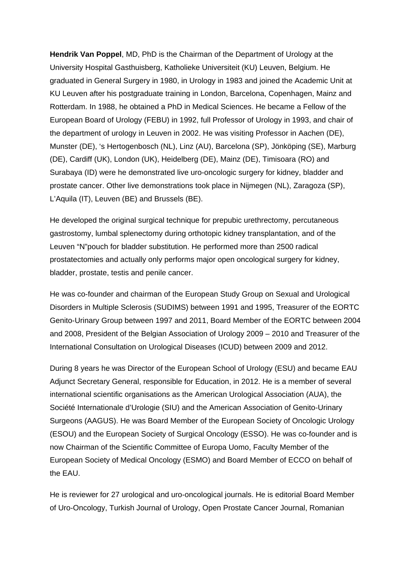**Hendrik Van Poppel**, MD, PhD is the Chairman of the Department of Urology at the University Hospital Gasthuisberg, Katholieke Universiteit (KU) Leuven, Belgium. He graduated in General Surgery in 1980, in Urology in 1983 and joined the Academic Unit at KU Leuven after his postgraduate training in London, Barcelona, Copenhagen, Mainz and Rotterdam. In 1988, he obtained a PhD in Medical Sciences. He became a Fellow of the European Board of Urology (FEBU) in 1992, full Professor of Urology in 1993, and chair of the department of urology in Leuven in 2002. He was visiting Professor in Aachen (DE), Munster (DE), 's Hertogenbosch (NL), Linz (AU), Barcelona (SP), Jönköping (SE), Marburg (DE), Cardiff (UK), London (UK), Heidelberg (DE), Mainz (DE), Timisoara (RO) and Surabaya (ID) were he demonstrated live uro-oncologic surgery for kidney, bladder and prostate cancer. Other live demonstrations took place in Nijmegen (NL), Zaragoza (SP), L'Aquila (IT), Leuven (BE) and Brussels (BE).

He developed the original surgical technique for prepubic urethrectomy, percutaneous gastrostomy, lumbal splenectomy during orthotopic kidney transplantation, and of the Leuven "N"pouch for bladder substitution. He performed more than 2500 radical prostatectomies and actually only performs major open oncological surgery for kidney, bladder, prostate, testis and penile cancer.

He was co-founder and chairman of the European Study Group on Sexual and Urological Disorders in Multiple Sclerosis (SUDIMS) between 1991 and 1995, Treasurer of the EORTC Genito-Urinary Group between 1997 and 2011, Board Member of the EORTC between 2004 and 2008, President of the Belgian Association of Urology 2009 – 2010 and Treasurer of the International Consultation on Urological Diseases (ICUD) between 2009 and 2012.

During 8 years he was Director of the European School of Urology (ESU) and became EAU Adjunct Secretary General, responsible for Education, in 2012. He is a member of several international scientific organisations as the American Urological Association (AUA), the Société Internationale d'Urologie (SIU) and the American Association of Genito-Urinary Surgeons (AAGUS). He was Board Member of the European Society of Oncologic Urology (ESOU) and the European Society of Surgical Oncology (ESSO). He was co-founder and is now Chairman of the Scientific Committee of Europa Uomo, Faculty Member of the European Society of Medical Oncology (ESMO) and Board Member of ECCO on behalf of the EAU.

He is reviewer for 27 urological and uro-oncological journals. He is editorial Board Member of Uro-Oncology, Turkish Journal of Urology, Open Prostate Cancer Journal, Romanian